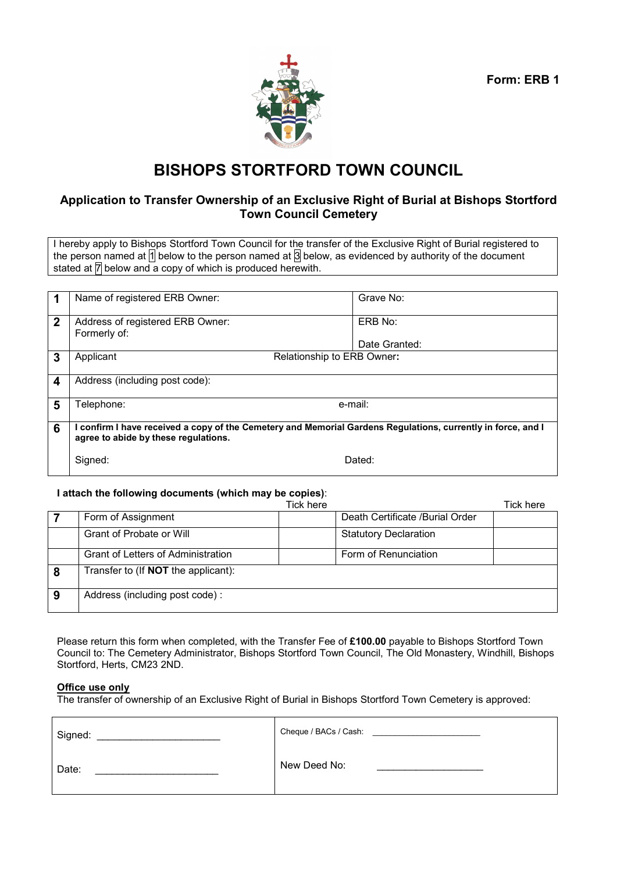**Form: ERB 1** 



# **BISHOPS STORTFORD TOWN COUNCIL**

# **Application to Transfer Ownership of an Exclusive Right of Burial at Bishops Stortford Town Council Cemetery**

I hereby apply to Bishops Stortford Town Council for the transfer of the Exclusive Right of Burial registered to the person named at  $\frac{1}{2}$  below to the person named at  $\frac{1}{3}$  below, as evidenced by authority of the document stated at  $\overline{\mathbb{7}}$  below and a copy of which is produced herewith.

|             | Name of registered ERB Owner:                                                                                                                        | Grave No:     |  |
|-------------|------------------------------------------------------------------------------------------------------------------------------------------------------|---------------|--|
| $\mathbf 2$ | Address of registered ERB Owner:<br>Formerly of:                                                                                                     | ERB No:       |  |
|             |                                                                                                                                                      | Date Granted: |  |
| 3           | Applicant<br>Relationship to ERB Owner:                                                                                                              |               |  |
| 4           | Address (including post code):                                                                                                                       |               |  |
| 5           | 「elephone:                                                                                                                                           | e-mail:       |  |
| 6           | I confirm I have received a copy of the Cemetery and Memorial Gardens Regulations, currently in force, and I<br>agree to abide by these regulations. |               |  |
|             | Signed:<br>Dated:                                                                                                                                    |               |  |

#### **I attach the following documents (which may be copies)**:

|   |                                            | Tick here |                                 | Tick here |
|---|--------------------------------------------|-----------|---------------------------------|-----------|
|   | Form of Assignment                         |           | Death Certificate /Burial Order |           |
|   | Grant of Probate or Will                   |           | <b>Statutory Declaration</b>    |           |
|   | <b>Grant of Letters of Administration</b>  |           | Form of Renunciation            |           |
|   | Transfer to (If <b>NOT</b> the applicant): |           |                                 |           |
| 9 | Address (including post code):             |           |                                 |           |

Please return this form when completed, with the Transfer Fee of **£100.00** payable to Bishops Stortford Town Council to: The Cemetery Administrator, Bishops Stortford Town Council, The Old Monastery, Windhill, Bishops Stortford, Herts, CM23 2ND.

#### **Office use only**

The transfer of ownership of an Exclusive Right of Burial in Bishops Stortford Town Cemetery is approved:

| Signed: | Cheque / BACs / Cash: |
|---------|-----------------------|
| Date:   | New Deed No:          |